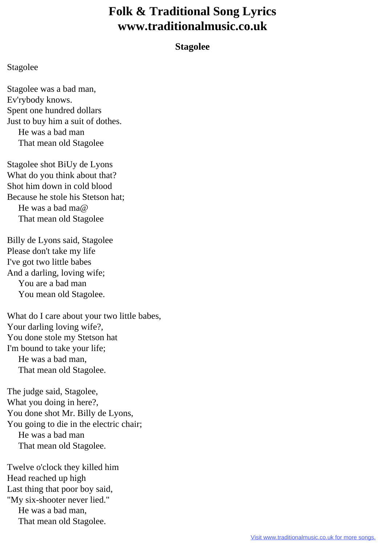## **Folk & Traditional Song Lyrics www.traditionalmusic.co.uk**

## **Stagolee**

## Stagolee

Stagolee was a bad man, Ev'rybody knows. Spent one hundred dollars Just to buy him a suit of dothes. He was a bad man That mean old Stagolee

Stagolee shot BiUy de Lyons What do you think about that? Shot him down in cold blood Because he stole his Stetson hat; He was a bad ma@ That mean old Stagolee

Billy de Lyons said, Stagolee Please don't take my life I've got two little babes And a darling, loving wife; You are a bad man You mean old Stagolee.

What do I care about your two little babes, Your darling loving wife?, You done stole my Stetson hat I'm bound to take your life; He was a bad man, That mean old Stagolee.

The judge said, Stagolee, What you doing in here?, You done shot Mr. Billy de Lyons, You going to die in the electric chair; He was a bad man That mean old Stagolee.

Twelve o'clock they killed him Head reached up high Last thing that poor boy said, "My six-shooter never lied." He was a bad man, That mean old Stagolee.